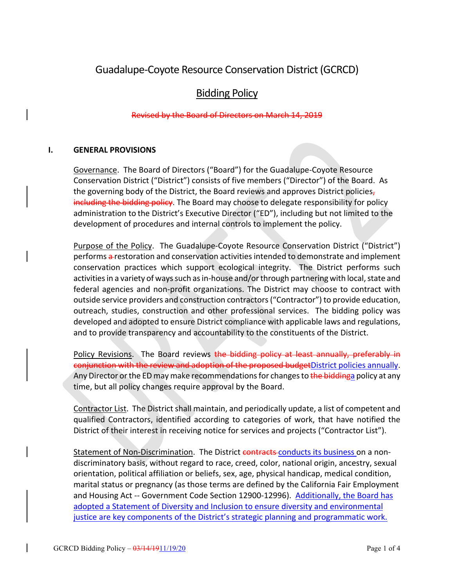# Guadalupe-Coyote Resource Conservation District (GCRCD)

## Bidding Policy

## Revised by the Board of Directors on March 14, 2019

#### **I. GENERAL PROVISIONS**

Governance. The Board of Directors ("Board") for the Guadalupe-Coyote Resource Conservation District ("District") consists of five members ("Director") of the Board. As the governing body of the District, the Board reviews and approves District policies, including the bidding policy. The Board may choose to delegate responsibility for policy administration to the District's Executive Director ("ED"), including but not limited to the development of procedures and internal controls to implement the policy.

Purpose of the Policy. The Guadalupe-Coyote Resource Conservation District ("District") performs a restoration and conservation activities intended to demonstrate and implement conservation practices which support ecological integrity. The District performs such activities in a variety of ways such as in-house and/or through partnering with local, state and federal agencies and non-profit organizations. The District may choose to contract with outside service providers and construction contractors("Contractor") to provide education, outreach, studies, construction and other professional services. The bidding policy was developed and adopted to ensure District compliance with applicable laws and regulations, and to provide transparency and accountability to the constituents of the District.

Policy Revisions. The Board reviews the bidding policy at least annually, preferably in conjunction with the review and adoption of the proposed budgetDistrict policies annually. Any Director or the ED may make recommendations for changes to the biddinga policy at any time, but all policy changes require approval by the Board.

Contractor List. The District shall maintain, and periodically update, a list of competent and qualified Contractors, identified according to categories of work, that have notified the District of their interest in receiving notice for services and projects ("Contractor List").

Statement of Non-Discrimination. The District contracts conducts its business on a nondiscriminatory basis, without regard to race, creed, color, national origin, ancestry, sexual orientation, political affiliation or beliefs, sex, age, physical handicap, medical condition, marital status or pregnancy (as those terms are defined by the California Fair Employment and Housing Act -- Government Code Section 12900-12996). Additionally, the Board has adopted a Statement of Diversity and Inclusion to ensure diversity and environmental justice are key components of the District's strategic planning and programmatic work.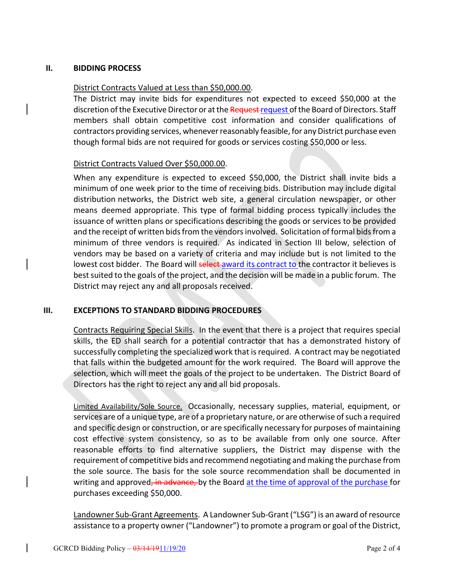#### **II. BIDDING PROCESS**

#### District Contracts Valued at Less than \$50,000.00.

The District may invite bids for expenditures not expected to exceed \$50,000 at the discretion of the Executive Director or at the Request request of the Board of Directors. Staff members shall obtain competitive cost information and consider qualifications of contractors providing services, whenever reasonably feasible, for any District purchase even though formal bids are not required for goods or services costing \$50,000 or less.

#### District Contracts Valued Over \$50,000.00.

When any expenditure is expected to exceed \$50,000, the District shall invite bids a minimum of one week prior to the time of receiving bids. Distribution may include digital distribution networks, the District web site, a general circulation newspaper, or other means deemed appropriate. This type of formal bidding process typically includes the issuance of written plans or specifications describing the goods or services to be provided and the receipt of written bids from the vendors involved. Solicitation of formal bids from a minimum of three vendors is required. As indicated in Section III below, selection of vendors may be based on a variety of criteria and may include but is not limited to the lowest cost bidder. The Board will select award its contract to the contractor it believes is best suited to the goals of the project, and the decision will be made in a public forum. The District may reject any and all proposals received.

## **III. EXCEPTIONS TO STANDARD BIDDING PROCEDURES**

Contracts Requiring Special Skills. In the event that there is a project that requires special skills, the ED shall search for a potential contractor that has a demonstrated history of successfully completing the specialized work that is required. A contract may be negotiated that falls within the budgeted amount for the work required. The Board will approve the selection, which will meet the goals of the project to be undertaken. The District Board of Directors has the right to reject any and all bid proposals.

Limited Availability/Sole Source. Occasionally, necessary supplies, material, equipment, or services are of a unique type, are of a proprietary nature, or are otherwise of such a required and specific design or construction, or are specifically necessary for purposes of maintaining cost effective system consistency, so as to be available from only one source. After reasonable efforts to find alternative suppliers, the District may dispense with the requirement of competitive bids and recommend negotiating and making the purchase from the sole source. The basis for the sole source recommendation shall be documented in writing and approved, in advance, by the Board at the time of approval of the purchase for purchases exceeding \$50,000.

Landowner Sub-Grant Agreements. A Landowner Sub-Grant ("LSG") is an award of resource assistance to a property owner ("Landowner") to promote a program or goal of the District,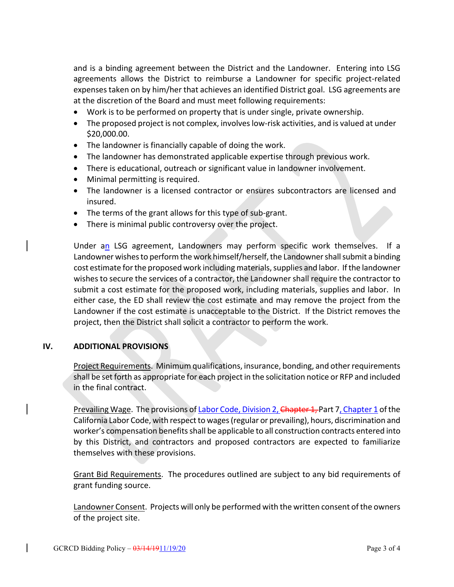and is a binding agreement between the District and the Landowner. Entering into LSG agreements allows the District to reimburse a Landowner for specific project-related expenses taken on by him/her that achieves an identified District goal. LSG agreements are at the discretion of the Board and must meet following requirements:

- Work is to be performed on property that is under single, private ownership.
- The proposed project is not complex, involves low-risk activities, and is valued at under \$20,000.00.
- The landowner is financially capable of doing the work.
- The landowner has demonstrated applicable expertise through previous work.
- There is educational, outreach or significant value in landowner involvement.
- Minimal permitting is required.
- The landowner is a licensed contractor or ensures subcontractors are licensed and insured.
- The terms of the grant allows for this type of sub-grant.
- There is minimal public controversy over the project.

Under an LSG agreement, Landowners may perform specific work themselves. If a Landowner wishes to perform the work himself/herself, the Landowner shall submit a binding cost estimate for the proposed work including materials, supplies and labor. If the landowner wishes to secure the services of a contractor, the Landowner shall require the contractor to submit a cost estimate for the proposed work, including materials, supplies and labor. In either case, the ED shall review the cost estimate and may remove the project from the Landowner if the cost estimate is unacceptable to the District. If the District removes the project, then the District shall solicit a contractor to perform the work.

## **IV. ADDITIONAL PROVISIONS**

Project Requirements. Minimum qualifications, insurance, bonding, and other requirements shall be set forth as appropriate for each project in the solicitation notice or RFP and included in the final contract.

Prevailing Wage. The provisions of Labor Code, Division 2, Chapter 1, Part 7, Chapter 1 of the California Labor Code, with respect to wages(regular or prevailing), hours, discrimination and worker's compensation benefits shall be applicable to all construction contracts entered into by this District, and contractors and proposed contractors are expected to familiarize themselves with these provisions.

Grant Bid Requirements. The procedures outlined are subject to any bid requirements of grant funding source.

Landowner Consent. Projects will only be performed with the written consent of the owners of the project site.